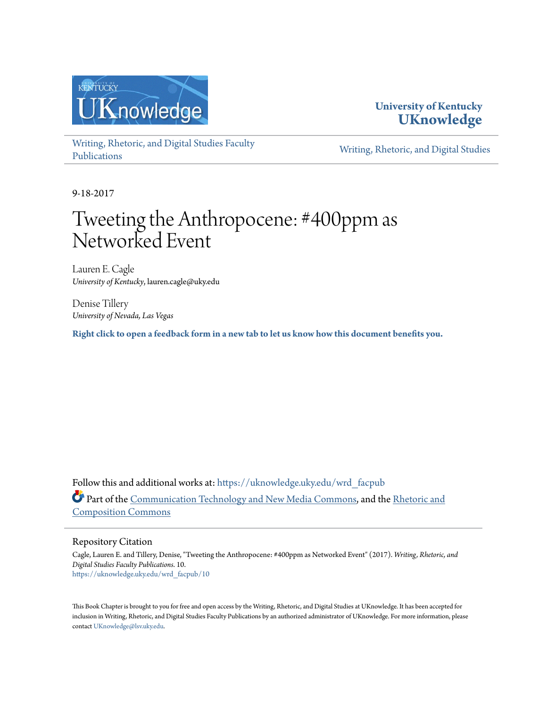

# **University of Kentucky [UKnowledge](https://uknowledge.uky.edu?utm_source=uknowledge.uky.edu%2Fwrd_facpub%2F10&utm_medium=PDF&utm_campaign=PDFCoverPages)**

[Writing, Rhetoric, and Digital Studies Faculty](https://uknowledge.uky.edu/wrd_facpub?utm_source=uknowledge.uky.edu%2Fwrd_facpub%2F10&utm_medium=PDF&utm_campaign=PDFCoverPages) [Publications](https://uknowledge.uky.edu/wrd_facpub?utm_source=uknowledge.uky.edu%2Fwrd_facpub%2F10&utm_medium=PDF&utm_campaign=PDFCoverPages)

[Writing, Rhetoric, and Digital Studies](https://uknowledge.uky.edu/wrd?utm_source=uknowledge.uky.edu%2Fwrd_facpub%2F10&utm_medium=PDF&utm_campaign=PDFCoverPages)

9-18-2017

# Tweeting the Anthropocene: #400ppm as Networked Event

Lauren E. Cagle *University of Kentucky*, lauren.cagle@uky.edu

Denise Tillery *University of Nevada, Las Vegas*

**[Right click to open a feedback form in a new tab to let us know how this document benefits you.](https://uky.az1.qualtrics.com/jfe/form/SV_9mq8fx2GnONRfz7)**

Follow this and additional works at: [https://uknowledge.uky.edu/wrd\\_facpub](https://uknowledge.uky.edu/wrd_facpub?utm_source=uknowledge.uky.edu%2Fwrd_facpub%2F10&utm_medium=PDF&utm_campaign=PDFCoverPages) Part of the [Communication Technology and New Media Commons](http://network.bepress.com/hgg/discipline/327?utm_source=uknowledge.uky.edu%2Fwrd_facpub%2F10&utm_medium=PDF&utm_campaign=PDFCoverPages), and the [Rhetoric and](http://network.bepress.com/hgg/discipline/573?utm_source=uknowledge.uky.edu%2Fwrd_facpub%2F10&utm_medium=PDF&utm_campaign=PDFCoverPages) [Composition Commons](http://network.bepress.com/hgg/discipline/573?utm_source=uknowledge.uky.edu%2Fwrd_facpub%2F10&utm_medium=PDF&utm_campaign=PDFCoverPages)

Repository Citation

Cagle, Lauren E. and Tillery, Denise, "Tweeting the Anthropocene: #400ppm as Networked Event" (2017). *Writing, Rhetoric, and Digital Studies Faculty Publications*. 10. [https://uknowledge.uky.edu/wrd\\_facpub/10](https://uknowledge.uky.edu/wrd_facpub/10?utm_source=uknowledge.uky.edu%2Fwrd_facpub%2F10&utm_medium=PDF&utm_campaign=PDFCoverPages)

This Book Chapter is brought to you for free and open access by the Writing, Rhetoric, and Digital Studies at UKnowledge. It has been accepted for inclusion in Writing, Rhetoric, and Digital Studies Faculty Publications by an authorized administrator of UKnowledge. For more information, please contact [UKnowledge@lsv.uky.edu](mailto:UKnowledge@lsv.uky.edu).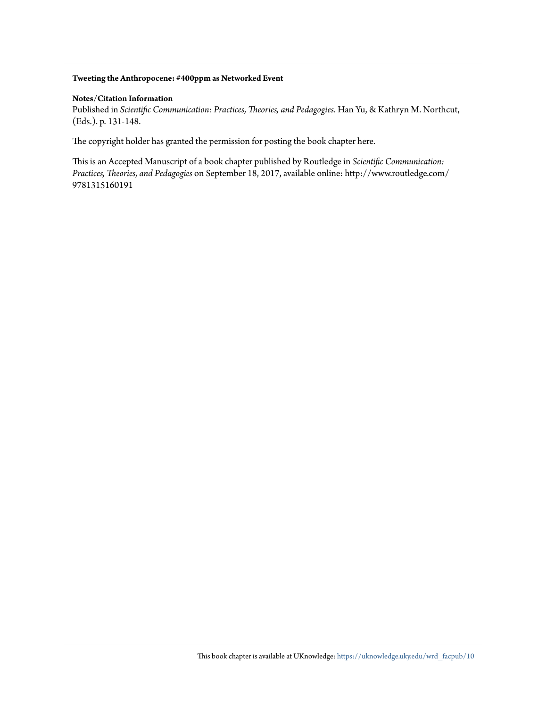#### **Tweeting the Anthropocene: #400ppm as Networked Event**

#### **Notes/Citation Information**

Published in *Scientific Communication: Practices, Theories, and Pedagogies*. Han Yu, & Kathryn M. Northcut, (Eds.). p. 131-148.

The copyright holder has granted the permission for posting the book chapter here.

This is an Accepted Manuscript of a book chapter published by Routledge in *Scientific Communication: Practices, Theories, and Pedagogies* on September 18, 2017, available online: http://www.routledge.com/ 9781315160191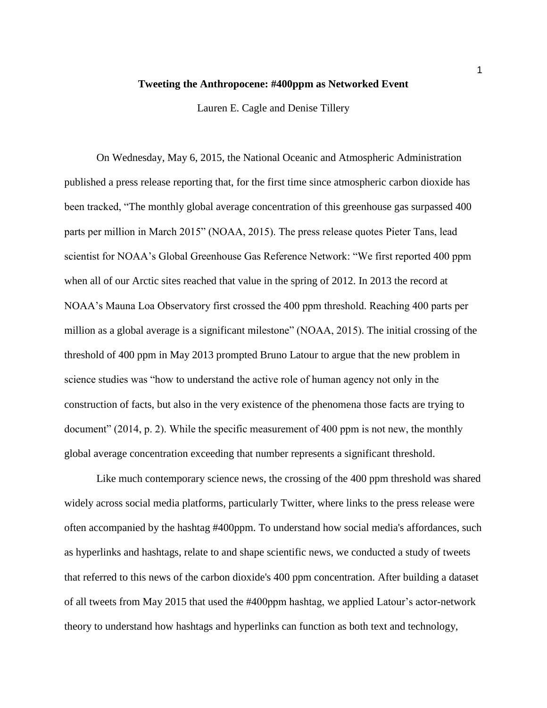## **Tweeting the Anthropocene: #400ppm as Networked Event**

Lauren E. Cagle and Denise Tillery

On Wednesday, May 6, 2015, the National Oceanic and Atmospheric Administration published a press release reporting that, for the first time since atmospheric carbon dioxide has been tracked, "The monthly global average concentration of this greenhouse gas surpassed 400 parts per million in March 2015" (NOAA, 2015). The press release quotes Pieter Tans, lead scientist for NOAA's Global Greenhouse Gas Reference Network: "We first reported 400 ppm when all of our Arctic sites reached that value in the spring of 2012. In 2013 the record at NOAA's Mauna Loa Observatory first crossed the 400 ppm threshold. Reaching 400 parts per million as a global average is a significant milestone" (NOAA, 2015). The initial crossing of the threshold of 400 ppm in May 2013 prompted Bruno Latour to argue that the new problem in science studies was "how to understand the active role of human agency not only in the construction of facts, but also in the very existence of the phenomena those facts are trying to document" (2014, p. 2). While the specific measurement of 400 ppm is not new, the monthly global average concentration exceeding that number represents a significant threshold.

Like much contemporary science news, the crossing of the 400 ppm threshold was shared widely across social media platforms, particularly Twitter, where links to the press release were often accompanied by the hashtag #400ppm. To understand how social media's affordances, such as hyperlinks and hashtags, relate to and shape scientific news, we conducted a study of tweets that referred to this news of the carbon dioxide's 400 ppm concentration. After building a dataset of all tweets from May 2015 that used the #400ppm hashtag, we applied Latour's actor-network theory to understand how hashtags and hyperlinks can function as both text and technology,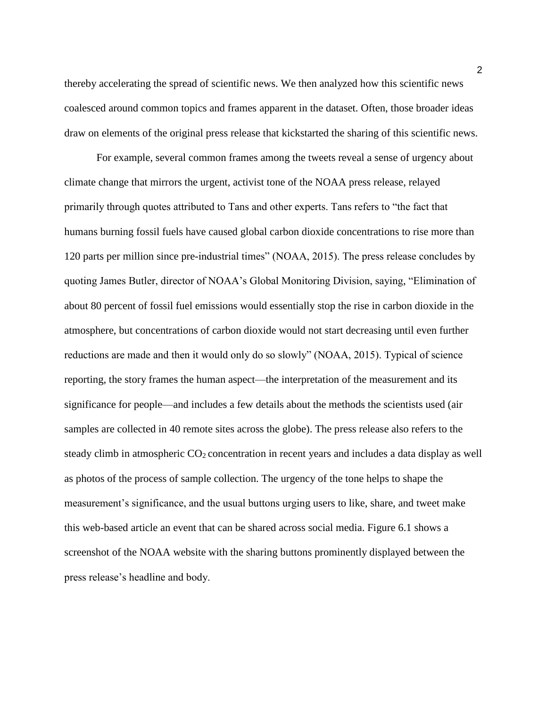thereby accelerating the spread of scientific news. We then analyzed how this scientific news coalesced around common topics and frames apparent in the dataset. Often, those broader ideas draw on elements of the original press release that kickstarted the sharing of this scientific news.

For example, several common frames among the tweets reveal a sense of urgency about climate change that mirrors the urgent, activist tone of the NOAA press release, relayed primarily through quotes attributed to Tans and other experts. Tans refers to "the fact that humans burning fossil fuels have caused global carbon dioxide concentrations to rise more than 120 parts per million since pre-industrial times" (NOAA, 2015). The press release concludes by quoting James Butler, director of NOAA's Global Monitoring Division, saying, "Elimination of about 80 percent of fossil fuel emissions would essentially stop the rise in carbon dioxide in the atmosphere, but concentrations of carbon dioxide would not start decreasing until even further reductions are made and then it would only do so slowly" (NOAA, 2015). Typical of science reporting, the story frames the human aspect—the interpretation of the measurement and its significance for people—and includes a few details about the methods the scientists used (air samples are collected in 40 remote sites across the globe). The press release also refers to the steady climb in atmospheric  $CO<sub>2</sub>$  concentration in recent years and includes a data display as well as photos of the process of sample collection. The urgency of the tone helps to shape the measurement's significance, and the usual buttons urging users to like, share, and tweet make this web-based article an event that can be shared across social media. Figure 6.1 shows a screenshot of the NOAA website with the sharing buttons prominently displayed between the press release's headline and body.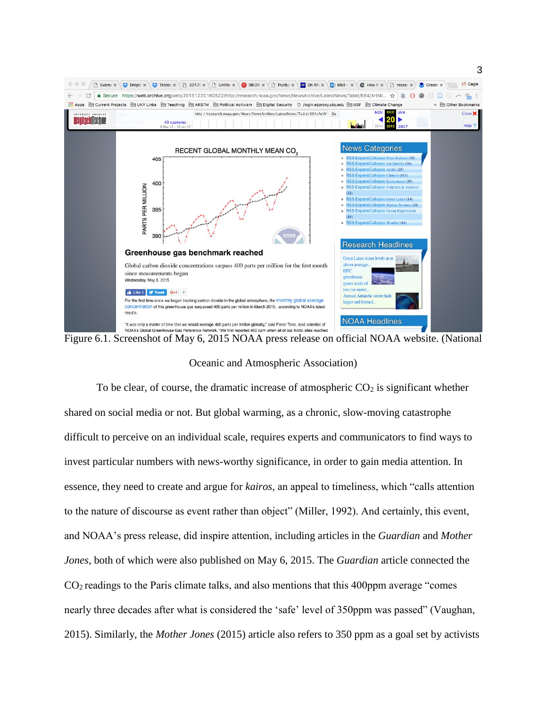

Figure 6.1. Screenshot of May 6, 2015 NOAA press release on official NOAA website. (National

## Oceanic and Atmospheric Association)

To be clear, of course, the dramatic increase of atmospheric  $CO<sub>2</sub>$  is significant whether shared on social media or not. But global warming, as a chronic, slow-moving catastrophe difficult to perceive on an individual scale, requires experts and communicators to find ways to invest particular numbers with news-worthy significance, in order to gain media attention. In essence, they need to create and argue for *kairos*, an appeal to timeliness, which "calls attention to the nature of discourse as event rather than object" (Miller, 1992). And certainly, this event, and NOAA's press release, did inspire attention, including articles in the *Guardian* and *Mother Jones*, both of which were also published on May 6, 2015. The *Guardian* article connected the CO2 readings to the Paris climate talks, and also mentions that this 400ppm average "comes nearly three decades after what is considered the 'safe' level of 350ppm was passed" (Vaughan, 2015). Similarly, the *Mother Jones* (2015) article also refers to 350 ppm as a goal set by activists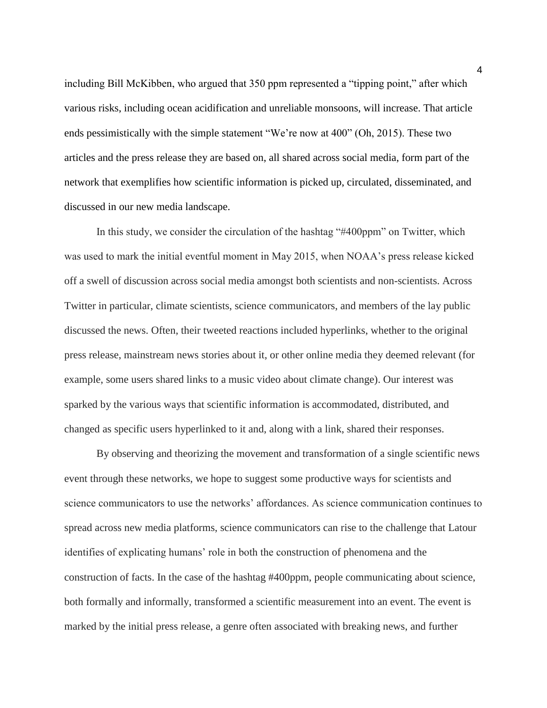including Bill McKibben, who argued that 350 ppm represented a "tipping point," after which various risks, including ocean acidification and unreliable monsoons, will increase. That article ends pessimistically with the simple statement "We're now at 400" (Oh, 2015). These two articles and the press release they are based on, all shared across social media, form part of the network that exemplifies how scientific information is picked up, circulated, disseminated, and discussed in our new media landscape.

In this study, we consider the circulation of the hashtag "#400ppm" on Twitter, which was used to mark the initial eventful moment in May 2015, when NOAA's press release kicked off a swell of discussion across social media amongst both scientists and non-scientists. Across Twitter in particular, climate scientists, science communicators, and members of the lay public discussed the news. Often, their tweeted reactions included hyperlinks, whether to the original press release, mainstream news stories about it, or other online media they deemed relevant (for example, some users shared links to a music video about climate change). Our interest was sparked by the various ways that scientific information is accommodated, distributed, and changed as specific users hyperlinked to it and, along with a link, shared their responses.

By observing and theorizing the movement and transformation of a single scientific news event through these networks, we hope to suggest some productive ways for scientists and science communicators to use the networks' affordances. As science communication continues to spread across new media platforms, science communicators can rise to the challenge that Latour identifies of explicating humans' role in both the construction of phenomena and the construction of facts. In the case of the hashtag #400ppm, people communicating about science, both formally and informally, transformed a scientific measurement into an event. The event is marked by the initial press release, a genre often associated with breaking news, and further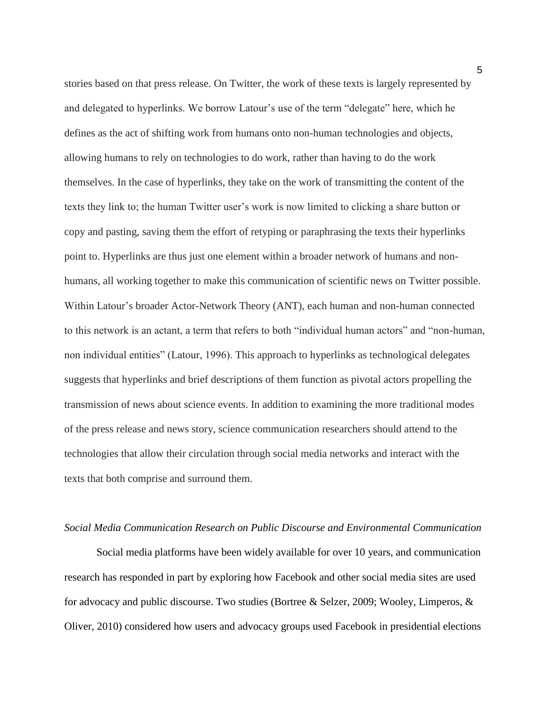stories based on that press release. On Twitter, the work of these texts is largely represented by and delegated to hyperlinks. We borrow Latour's use of the term "delegate" here, which he defines as the act of shifting work from humans onto non-human technologies and objects, allowing humans to rely on technologies to do work, rather than having to do the work themselves. In the case of hyperlinks, they take on the work of transmitting the content of the texts they link to; the human Twitter user's work is now limited to clicking a share button or copy and pasting, saving them the effort of retyping or paraphrasing the texts their hyperlinks point to. Hyperlinks are thus just one element within a broader network of humans and nonhumans, all working together to make this communication of scientific news on Twitter possible. Within Latour's broader Actor-Network Theory (ANT), each human and non-human connected to this network is an actant, a term that refers to both "individual human actors" and "non-human, non individual entities" (Latour, 1996). This approach to hyperlinks as technological delegates suggests that hyperlinks and brief descriptions of them function as pivotal actors propelling the transmission of news about science events. In addition to examining the more traditional modes of the press release and news story, science communication researchers should attend to the technologies that allow their circulation through social media networks and interact with the texts that both comprise and surround them.

## *Social Media Communication Research on Public Discourse and Environmental Communication*

Social media platforms have been widely available for over 10 years, and communication research has responded in part by exploring how Facebook and other social media sites are used for advocacy and public discourse. Two studies (Bortree & Selzer, 2009; Wooley, Limperos, & Oliver, 2010) considered how users and advocacy groups used Facebook in presidential elections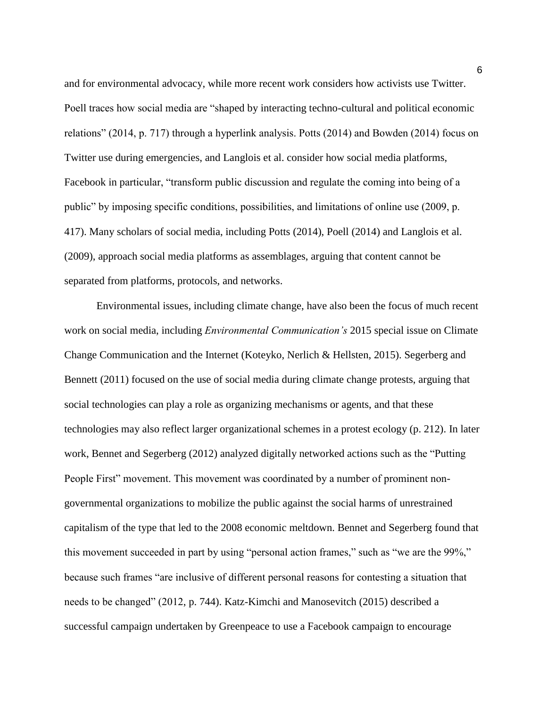and for environmental advocacy, while more recent work considers how activists use Twitter. Poell traces how social media are "shaped by interacting techno-cultural and political economic relations" (2014, p. 717) through a hyperlink analysis. Potts (2014) and Bowden (2014) focus on Twitter use during emergencies, and Langlois et al. consider how social media platforms, Facebook in particular, "transform public discussion and regulate the coming into being of a public" by imposing specific conditions, possibilities, and limitations of online use (2009, p. 417). Many scholars of social media, including Potts (2014), Poell (2014) and Langlois et al. (2009), approach social media platforms as assemblages, arguing that content cannot be separated from platforms, protocols, and networks.

Environmental issues, including climate change, have also been the focus of much recent work on social media, including *Environmental Communication's* 2015 special issue on Climate Change Communication and the Internet (Koteyko, Nerlich & Hellsten, 2015). Segerberg and Bennett (2011) focused on the use of social media during climate change protests, arguing that social technologies can play a role as organizing mechanisms or agents, and that these technologies may also reflect larger organizational schemes in a protest ecology (p. 212). In later work, Bennet and Segerberg (2012) analyzed digitally networked actions such as the "Putting People First" movement. This movement was coordinated by a number of prominent nongovernmental organizations to mobilize the public against the social harms of unrestrained capitalism of the type that led to the 2008 economic meltdown. Bennet and Segerberg found that this movement succeeded in part by using "personal action frames," such as "we are the 99%," because such frames "are inclusive of different personal reasons for contesting a situation that needs to be changed" (2012, p. 744). Katz-Kimchi and Manosevitch (2015) described a successful campaign undertaken by Greenpeace to use a Facebook campaign to encourage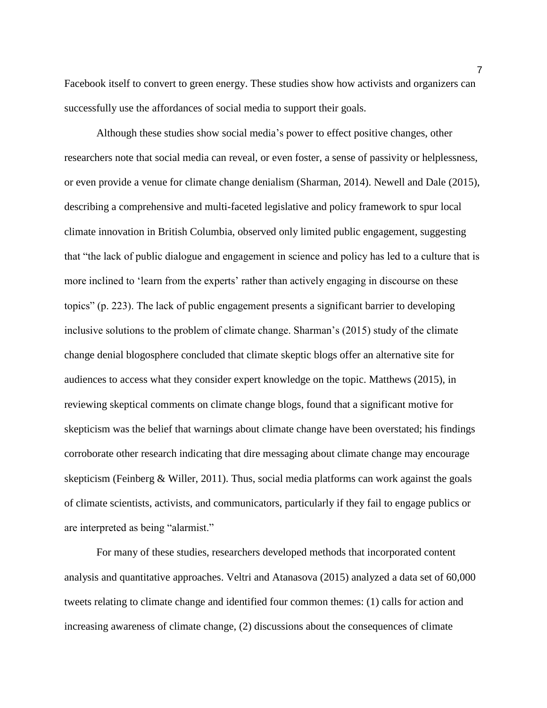Facebook itself to convert to green energy. These studies show how activists and organizers can successfully use the affordances of social media to support their goals.

Although these studies show social media's power to effect positive changes, other researchers note that social media can reveal, or even foster, a sense of passivity or helplessness, or even provide a venue for climate change denialism (Sharman, 2014). Newell and Dale (2015), describing a comprehensive and multi-faceted legislative and policy framework to spur local climate innovation in British Columbia, observed only limited public engagement, suggesting that "the lack of public dialogue and engagement in science and policy has led to a culture that is more inclined to 'learn from the experts' rather than actively engaging in discourse on these topics" (p. 223). The lack of public engagement presents a significant barrier to developing inclusive solutions to the problem of climate change. Sharman's (2015) study of the climate change denial blogosphere concluded that climate skeptic blogs offer an alternative site for audiences to access what they consider expert knowledge on the topic. Matthews (2015), in reviewing skeptical comments on climate change blogs, found that a significant motive for skepticism was the belief that warnings about climate change have been overstated; his findings corroborate other research indicating that dire messaging about climate change may encourage skepticism (Feinberg & Willer, 2011). Thus, social media platforms can work against the goals of climate scientists, activists, and communicators, particularly if they fail to engage publics or are interpreted as being "alarmist."

For many of these studies, researchers developed methods that incorporated content analysis and quantitative approaches. Veltri and Atanasova (2015) analyzed a data set of 60,000 tweets relating to climate change and identified four common themes: (1) calls for action and increasing awareness of climate change, (2) discussions about the consequences of climate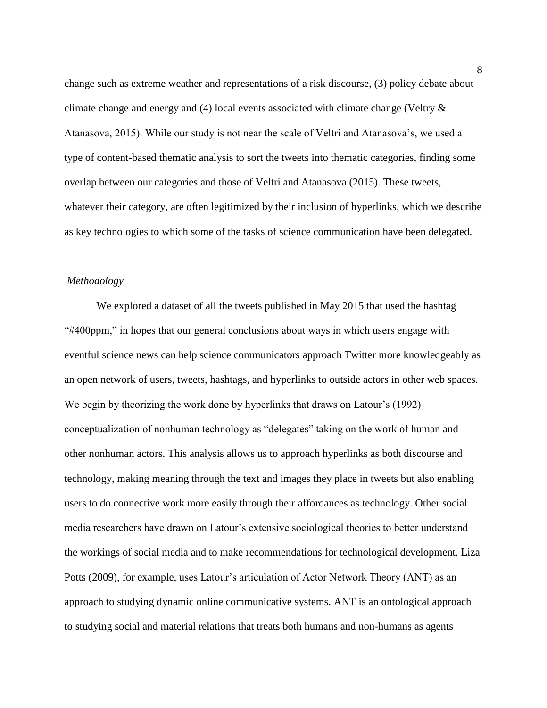change such as extreme weather and representations of a risk discourse, (3) policy debate about climate change and energy and (4) local events associated with climate change (Veltry & Atanasova, 2015). While our study is not near the scale of Veltri and Atanasova's, we used a type of content-based thematic analysis to sort the tweets into thematic categories, finding some overlap between our categories and those of Veltri and Atanasova (2015). These tweets, whatever their category, are often legitimized by their inclusion of hyperlinks, which we describe as key technologies to which some of the tasks of science communication have been delegated.

#### *Methodology*

We explored a dataset of all the tweets published in May 2015 that used the hashtag "#400ppm," in hopes that our general conclusions about ways in which users engage with eventful science news can help science communicators approach Twitter more knowledgeably as an open network of users, tweets, hashtags, and hyperlinks to outside actors in other web spaces. We begin by theorizing the work done by hyperlinks that draws on Latour's (1992) conceptualization of nonhuman technology as "delegates" taking on the work of human and other nonhuman actors. This analysis allows us to approach hyperlinks as both discourse and technology, making meaning through the text and images they place in tweets but also enabling users to do connective work more easily through their affordances as technology. Other social media researchers have drawn on Latour's extensive sociological theories to better understand the workings of social media and to make recommendations for technological development. Liza Potts (2009), for example, uses Latour's articulation of Actor Network Theory (ANT) as an approach to studying dynamic online communicative systems. ANT is an ontological approach to studying social and material relations that treats both humans and non-humans as agents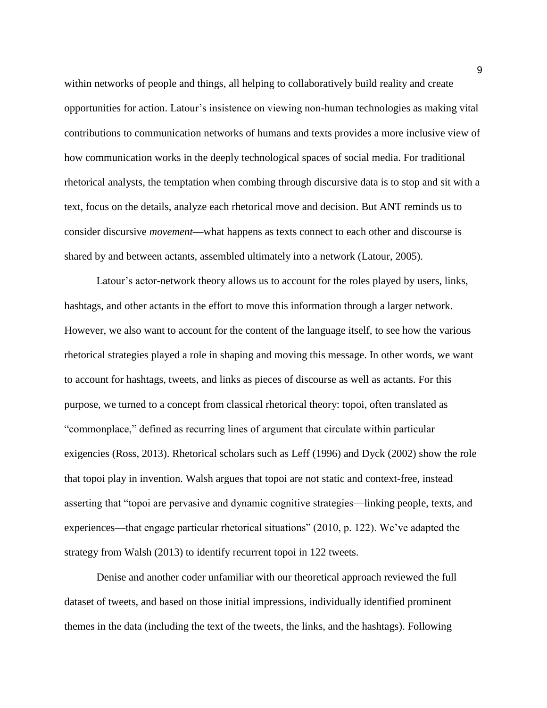within networks of people and things, all helping to collaboratively build reality and create opportunities for action. Latour's insistence on viewing non-human technologies as making vital contributions to communication networks of humans and texts provides a more inclusive view of how communication works in the deeply technological spaces of social media. For traditional rhetorical analysts, the temptation when combing through discursive data is to stop and sit with a text, focus on the details, analyze each rhetorical move and decision. But ANT reminds us to consider discursive *movement*—what happens as texts connect to each other and discourse is shared by and between actants, assembled ultimately into a network (Latour, 2005).

Latour's actor-network theory allows us to account for the roles played by users, links, hashtags, and other actants in the effort to move this information through a larger network. However, we also want to account for the content of the language itself, to see how the various rhetorical strategies played a role in shaping and moving this message. In other words, we want to account for hashtags, tweets, and links as pieces of discourse as well as actants. For this purpose, we turned to a concept from classical rhetorical theory: topoi, often translated as "commonplace," defined as recurring lines of argument that circulate within particular exigencies (Ross, 2013). Rhetorical scholars such as Leff (1996) and Dyck (2002) show the role that topoi play in invention. Walsh argues that topoi are not static and context-free, instead asserting that "topoi are pervasive and dynamic cognitive strategies—linking people, texts, and experiences—that engage particular rhetorical situations" (2010, p. 122). We've adapted the strategy from Walsh (2013) to identify recurrent topoi in 122 tweets.

Denise and another coder unfamiliar with our theoretical approach reviewed the full dataset of tweets, and based on those initial impressions, individually identified prominent themes in the data (including the text of the tweets, the links, and the hashtags). Following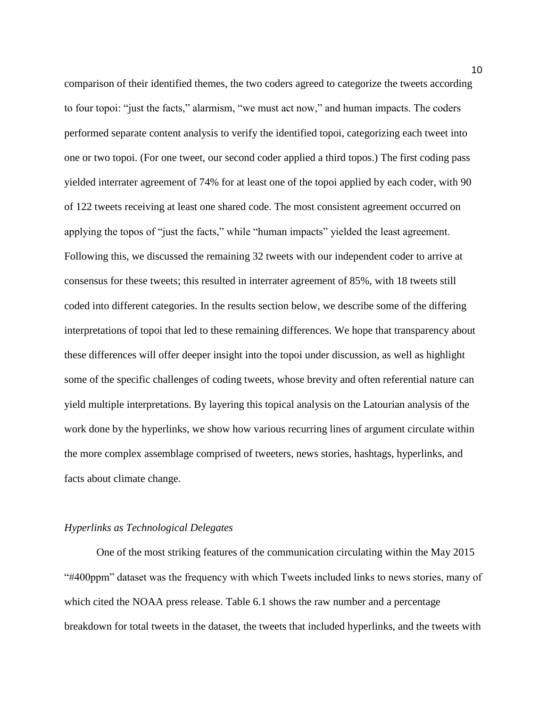comparison of their identified themes, the two coders agreed to categorize the tweets according to four topoi: "just the facts," alarmism, "we must act now," and human impacts. The coders performed separate content analysis to verify the identified topoi, categorizing each tweet into one or two topoi. (For one tweet, our second coder applied a third topos.) The first coding pass yielded interrater agreement of 74% for at least one of the topoi applied by each coder, with 90 of 122 tweets receiving at least one shared code. The most consistent agreement occurred on applying the topos of "just the facts," while "human impacts" yielded the least agreement. Following this, we discussed the remaining 32 tweets with our independent coder to arrive at consensus for these tweets; this resulted in interrater agreement of 85%, with 18 tweets still coded into different categories. In the results section below, we describe some of the differing interpretations of topoi that led to these remaining differences. We hope that transparency about these differences will offer deeper insight into the topoi under discussion, as well as highlight some of the specific challenges of coding tweets, whose brevity and often referential nature can yield multiple interpretations. By layering this topical analysis on the Latourian analysis of the work done by the hyperlinks, we show how various recurring lines of argument circulate within the more complex assemblage comprised of tweeters, news stories, hashtags, hyperlinks, and facts about climate change.

## *Hyperlinks as Technological Delegates*

One of the most striking features of the communication circulating within the May 2015 "#400ppm" dataset was the frequency with which Tweets included links to news stories, many of which cited the NOAA press release. Table 6.1 shows the raw number and a percentage breakdown for total tweets in the dataset, the tweets that included hyperlinks, and the tweets with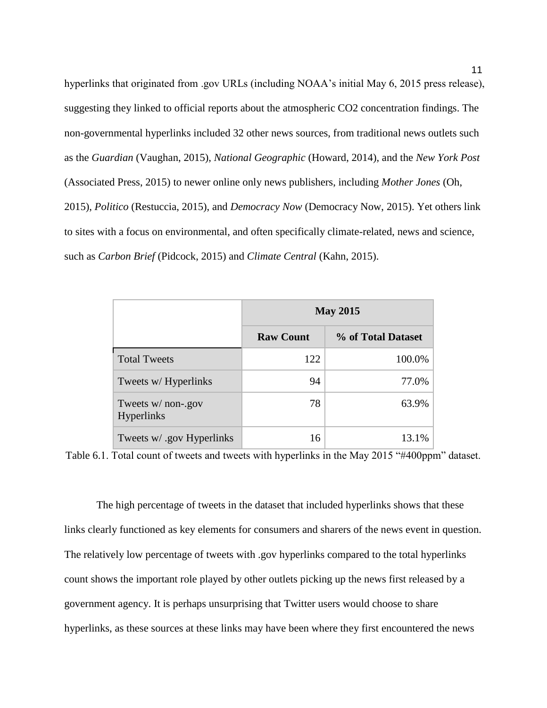hyperlinks that originated from .gov URLs (including NOAA's initial May 6, 2015 press release), suggesting they linked to official reports about the atmospheric CO2 concentration findings. The non-governmental hyperlinks included 32 other news sources, from traditional news outlets such as the *Guardian* (Vaughan, 2015), *National Geographic* (Howard, 2014), and the *New York Post* (Associated Press, 2015) to newer online only news publishers, including *Mother Jones* (Oh, 2015), *Politico* (Restuccia, 2015), and *Democracy Now* (Democracy Now, 2015). Yet others link to sites with a focus on environmental, and often specifically climate-related, news and science, such as *Carbon Brief* (Pidcock, 2015) and *Climate Central* (Kahn, 2015).

|                                  | <b>May 2015</b>  |                    |
|----------------------------------|------------------|--------------------|
|                                  | <b>Raw Count</b> | % of Total Dataset |
| <b>Total Tweets</b>              | 122              | 100.0%             |
| Tweets w/ Hyperlinks             | 94               | 77.0%              |
| Tweets w/ non-.gov<br>Hyperlinks | 78               | 63.9%              |
| Tweets w/ .gov Hyperlinks        | 16               | 13.1%              |

Table 6.1. Total count of tweets and tweets with hyperlinks in the May 2015 "#400ppm" dataset.

The high percentage of tweets in the dataset that included hyperlinks shows that these links clearly functioned as key elements for consumers and sharers of the news event in question. The relatively low percentage of tweets with .gov hyperlinks compared to the total hyperlinks count shows the important role played by other outlets picking up the news first released by a government agency. It is perhaps unsurprising that Twitter users would choose to share hyperlinks, as these sources at these links may have been where they first encountered the news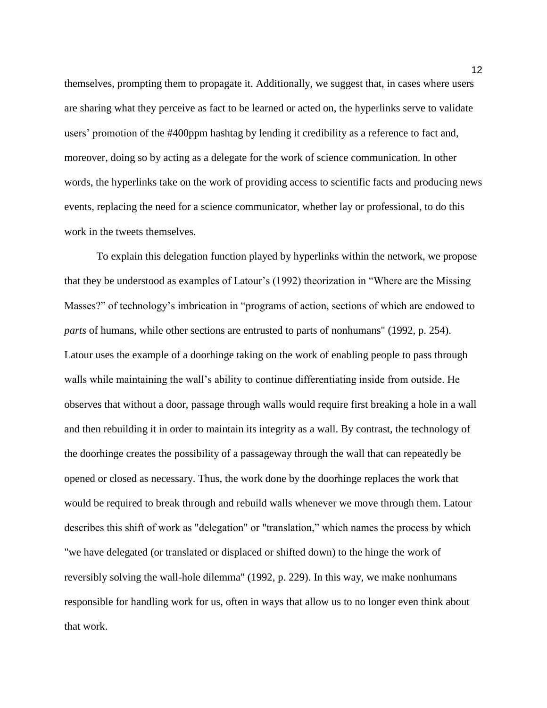themselves, prompting them to propagate it. Additionally, we suggest that, in cases where users are sharing what they perceive as fact to be learned or acted on, the hyperlinks serve to validate users' promotion of the #400ppm hashtag by lending it credibility as a reference to fact and, moreover, doing so by acting as a delegate for the work of science communication. In other words, the hyperlinks take on the work of providing access to scientific facts and producing news events, replacing the need for a science communicator, whether lay or professional, to do this work in the tweets themselves.

To explain this delegation function played by hyperlinks within the network, we propose that they be understood as examples of Latour's (1992) theorization in "Where are the Missing Masses?" of technology's imbrication in "programs of action, sections of which are endowed to *parts* of humans, while other sections are entrusted to parts of nonhumans" (1992, p. 254). Latour uses the example of a doorhinge taking on the work of enabling people to pass through walls while maintaining the wall's ability to continue differentiating inside from outside. He observes that without a door, passage through walls would require first breaking a hole in a wall and then rebuilding it in order to maintain its integrity as a wall. By contrast, the technology of the doorhinge creates the possibility of a passageway through the wall that can repeatedly be opened or closed as necessary. Thus, the work done by the doorhinge replaces the work that would be required to break through and rebuild walls whenever we move through them. Latour describes this shift of work as "delegation" or "translation," which names the process by which "we have delegated (or translated or displaced or shifted down) to the hinge the work of reversibly solving the wall-hole dilemma" (1992, p. 229). In this way, we make nonhumans responsible for handling work for us, often in ways that allow us to no longer even think about that work.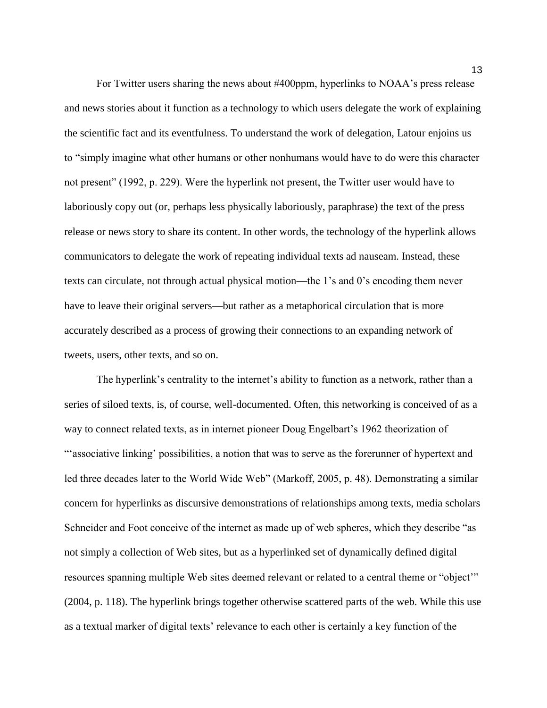For Twitter users sharing the news about #400ppm, hyperlinks to NOAA's press release and news stories about it function as a technology to which users delegate the work of explaining the scientific fact and its eventfulness. To understand the work of delegation, Latour enjoins us to "simply imagine what other humans or other nonhumans would have to do were this character not present" (1992, p. 229). Were the hyperlink not present, the Twitter user would have to laboriously copy out (or, perhaps less physically laboriously, paraphrase) the text of the press release or news story to share its content. In other words, the technology of the hyperlink allows communicators to delegate the work of repeating individual texts ad nauseam. Instead, these texts can circulate, not through actual physical motion—the 1's and 0's encoding them never have to leave their original servers—but rather as a metaphorical circulation that is more accurately described as a process of growing their connections to an expanding network of tweets, users, other texts, and so on.

The hyperlink's centrality to the internet's ability to function as a network, rather than a series of siloed texts, is, of course, well-documented. Often, this networking is conceived of as a way to connect related texts, as in internet pioneer Doug Engelbart's 1962 theorization of "'associative linking' possibilities, a notion that was to serve as the forerunner of hypertext and led three decades later to the World Wide Web" (Markoff, 2005, p. 48). Demonstrating a similar concern for hyperlinks as discursive demonstrations of relationships among texts, media scholars Schneider and Foot conceive of the internet as made up of web spheres, which they describe "as not simply a collection of Web sites, but as a hyperlinked set of dynamically defined digital resources spanning multiple Web sites deemed relevant or related to a central theme or "object'" (2004, p. 118). The hyperlink brings together otherwise scattered parts of the web. While this use as a textual marker of digital texts' relevance to each other is certainly a key function of the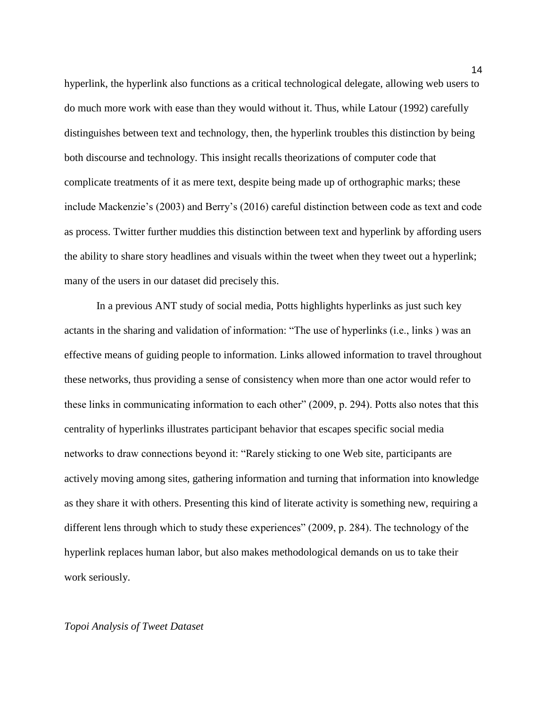hyperlink, the hyperlink also functions as a critical technological delegate, allowing web users to do much more work with ease than they would without it. Thus, while Latour (1992) carefully distinguishes between text and technology, then, the hyperlink troubles this distinction by being both discourse and technology. This insight recalls theorizations of computer code that complicate treatments of it as mere text, despite being made up of orthographic marks; these include Mackenzie's (2003) and Berry's (2016) careful distinction between code as text and code as process. Twitter further muddies this distinction between text and hyperlink by affording users the ability to share story headlines and visuals within the tweet when they tweet out a hyperlink; many of the users in our dataset did precisely this.

In a previous ANT study of social media, Potts highlights hyperlinks as just such key actants in the sharing and validation of information: "The use of hyperlinks (i.e., links ) was an effective means of guiding people to information. Links allowed information to travel throughout these networks, thus providing a sense of consistency when more than one actor would refer to these links in communicating information to each other" (2009, p. 294). Potts also notes that this centrality of hyperlinks illustrates participant behavior that escapes specific social media networks to draw connections beyond it: "Rarely sticking to one Web site, participants are actively moving among sites, gathering information and turning that information into knowledge as they share it with others. Presenting this kind of literate activity is something new, requiring a different lens through which to study these experiences" (2009, p. 284). The technology of the hyperlink replaces human labor, but also makes methodological demands on us to take their work seriously.

## *Topoi Analysis of Tweet Dataset*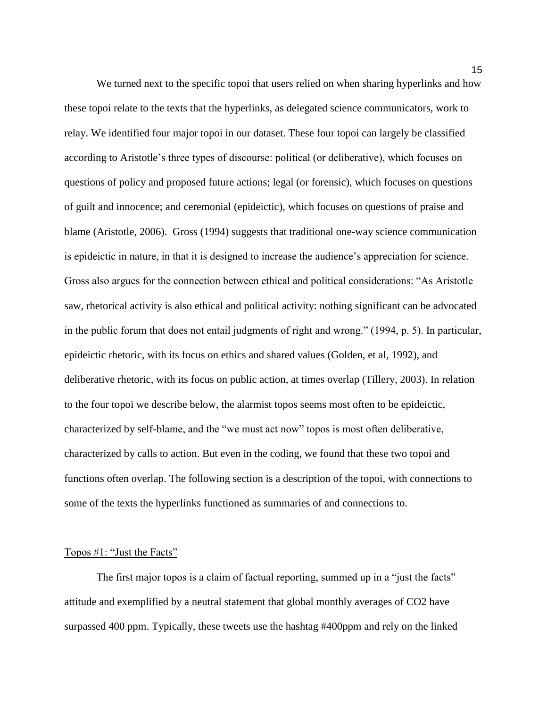We turned next to the specific topoi that users relied on when sharing hyperlinks and how these topoi relate to the texts that the hyperlinks, as delegated science communicators, work to relay. We identified four major topoi in our dataset. These four topoi can largely be classified according to Aristotle's three types of discourse: political (or deliberative), which focuses on questions of policy and proposed future actions; legal (or forensic), which focuses on questions of guilt and innocence; and ceremonial (epideictic), which focuses on questions of praise and blame (Aristotle, 2006). Gross (1994) suggests that traditional one-way science communication is epideictic in nature, in that it is designed to increase the audience's appreciation for science. Gross also argues for the connection between ethical and political considerations: "As Aristotle saw, rhetorical activity is also ethical and political activity: nothing significant can be advocated in the public forum that does not entail judgments of right and wrong." (1994, p. 5). In particular, epideictic rhetoric, with its focus on ethics and shared values (Golden, et al, 1992), and deliberative rhetoric, with its focus on public action, at times overlap (Tillery, 2003). In relation to the four topoi we describe below, the alarmist topos seems most often to be epideictic, characterized by self-blame, and the "we must act now" topos is most often deliberative, characterized by calls to action. But even in the coding, we found that these two topoi and functions often overlap. The following section is a description of the topoi, with connections to some of the texts the hyperlinks functioned as summaries of and connections to.

#### Topos #1: "Just the Facts"

The first major topos is a claim of factual reporting, summed up in a "just the facts" attitude and exemplified by a neutral statement that global monthly averages of CO2 have surpassed 400 ppm. Typically, these tweets use the hashtag #400ppm and rely on the linked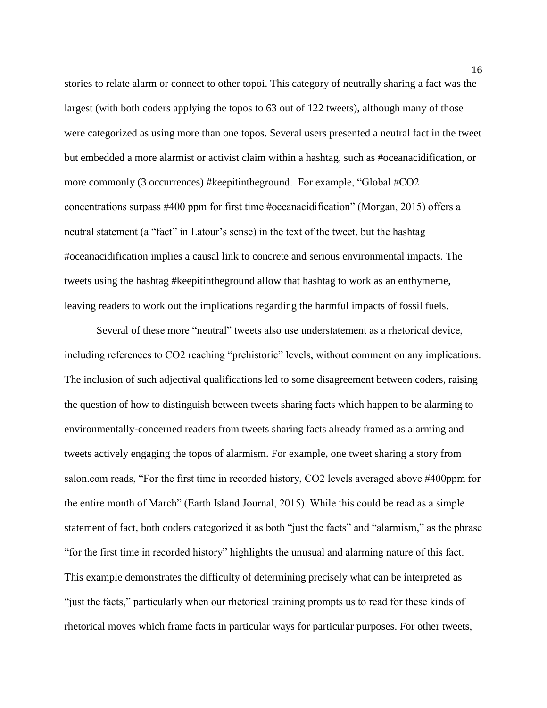stories to relate alarm or connect to other topoi. This category of neutrally sharing a fact was the largest (with both coders applying the topos to 63 out of 122 tweets), although many of those were categorized as using more than one topos. Several users presented a neutral fact in the tweet but embedded a more alarmist or activist claim within a hashtag, such as #oceanacidification, or more commonly (3 occurrences) #keepitintheground. For example, "Global #CO2 concentrations surpass #400 ppm for first time #oceanacidification" (Morgan, 2015) offers a neutral statement (a "fact" in Latour's sense) in the text of the tweet, but the hashtag #oceanacidification implies a causal link to concrete and serious environmental impacts. The tweets using the hashtag #keepitintheground allow that hashtag to work as an enthymeme, leaving readers to work out the implications regarding the harmful impacts of fossil fuels.

Several of these more "neutral" tweets also use understatement as a rhetorical device, including references to CO2 reaching "prehistoric" levels, without comment on any implications. The inclusion of such adjectival qualifications led to some disagreement between coders, raising the question of how to distinguish between tweets sharing facts which happen to be alarming to environmentally-concerned readers from tweets sharing facts already framed as alarming and tweets actively engaging the topos of alarmism. For example, one tweet sharing a story from salon.com reads, "For the first time in recorded history, CO2 levels averaged above #400ppm for the entire month of March" (Earth Island Journal, 2015). While this could be read as a simple statement of fact, both coders categorized it as both "just the facts" and "alarmism," as the phrase "for the first time in recorded history" highlights the unusual and alarming nature of this fact. This example demonstrates the difficulty of determining precisely what can be interpreted as "just the facts," particularly when our rhetorical training prompts us to read for these kinds of rhetorical moves which frame facts in particular ways for particular purposes. For other tweets,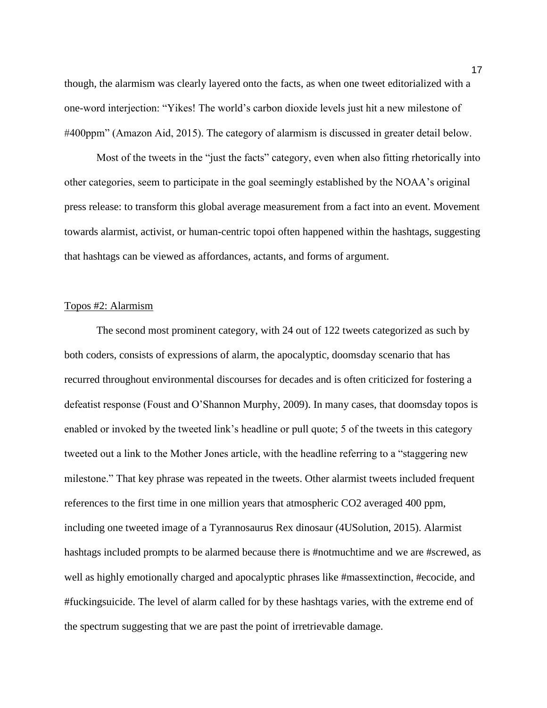though, the alarmism was clearly layered onto the facts, as when one tweet editorialized with a one-word interjection: "Yikes! The world's carbon dioxide levels just hit a new milestone of #400ppm" (Amazon Aid, 2015). The category of alarmism is discussed in greater detail below.

Most of the tweets in the "just the facts" category, even when also fitting rhetorically into other categories, seem to participate in the goal seemingly established by the NOAA's original press release: to transform this global average measurement from a fact into an event. Movement towards alarmist, activist, or human-centric topoi often happened within the hashtags, suggesting that hashtags can be viewed as affordances, actants, and forms of argument.

#### Topos #2: Alarmism

The second most prominent category, with 24 out of 122 tweets categorized as such by both coders, consists of expressions of alarm, the apocalyptic, doomsday scenario that has recurred throughout environmental discourses for decades and is often criticized for fostering a defeatist response (Foust and O'Shannon Murphy, 2009). In many cases, that doomsday topos is enabled or invoked by the tweeted link's headline or pull quote; 5 of the tweets in this category tweeted out a link to the Mother Jones article, with the headline referring to a "staggering new milestone." That key phrase was repeated in the tweets. Other alarmist tweets included frequent references to the first time in one million years that atmospheric CO2 averaged 400 ppm, including one tweeted image of a Tyrannosaurus Rex dinosaur (4USolution, 2015). Alarmist hashtags included prompts to be alarmed because there is #notmuchtime and we are #screwed, as well as highly emotionally charged and apocalyptic phrases like #massextinction, #ecocide, and #fuckingsuicide. The level of alarm called for by these hashtags varies, with the extreme end of the spectrum suggesting that we are past the point of irretrievable damage.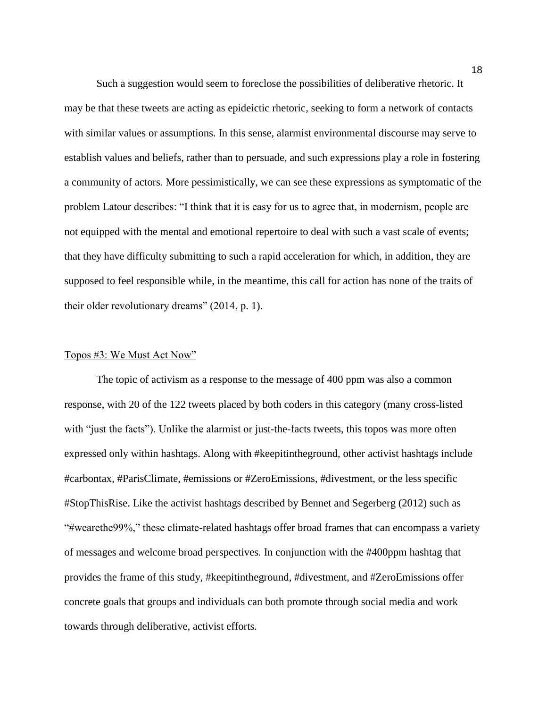Such a suggestion would seem to foreclose the possibilities of deliberative rhetoric. It may be that these tweets are acting as epideictic rhetoric, seeking to form a network of contacts with similar values or assumptions. In this sense, alarmist environmental discourse may serve to establish values and beliefs, rather than to persuade, and such expressions play a role in fostering a community of actors. More pessimistically, we can see these expressions as symptomatic of the problem Latour describes: "I think that it is easy for us to agree that, in modernism, people are not equipped with the mental and emotional repertoire to deal with such a vast scale of events; that they have difficulty submitting to such a rapid acceleration for which, in addition, they are supposed to feel responsible while, in the meantime, this call for action has none of the traits of their older revolutionary dreams" (2014, p. 1).

#### Topos #3: We Must Act Now"

The topic of activism as a response to the message of 400 ppm was also a common response, with 20 of the 122 tweets placed by both coders in this category (many cross-listed with "just the facts"). Unlike the alarmist or just-the-facts tweets, this topos was more often expressed only within hashtags. Along with #keepitintheground, other activist hashtags include #carbontax, #ParisClimate, #emissions or #ZeroEmissions, #divestment, or the less specific #StopThisRise. Like the activist hashtags described by Bennet and Segerberg (2012) such as "#wearethe99%," these climate-related hashtags offer broad frames that can encompass a variety of messages and welcome broad perspectives. In conjunction with the #400ppm hashtag that provides the frame of this study, #keepitintheground, #divestment, and #ZeroEmissions offer concrete goals that groups and individuals can both promote through social media and work towards through deliberative, activist efforts.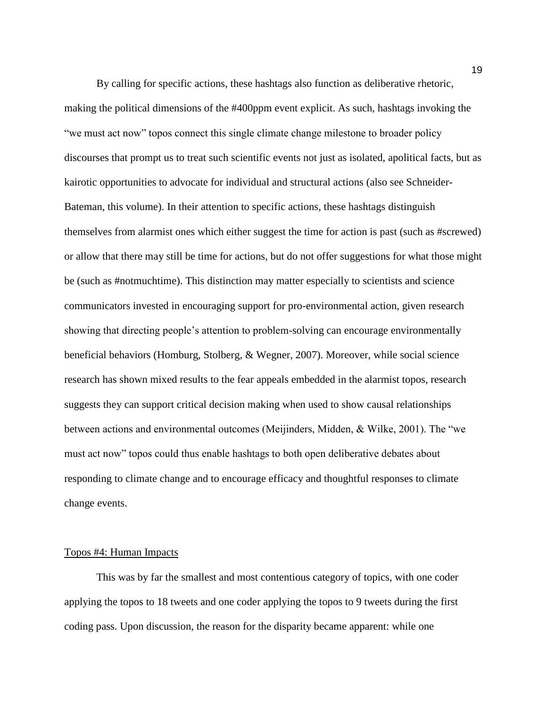By calling for specific actions, these hashtags also function as deliberative rhetoric, making the political dimensions of the #400ppm event explicit. As such, hashtags invoking the "we must act now" topos connect this single climate change milestone to broader policy discourses that prompt us to treat such scientific events not just as isolated, apolitical facts, but as kairotic opportunities to advocate for individual and structural actions (also see Schneider-Bateman, this volume). In their attention to specific actions, these hashtags distinguish themselves from alarmist ones which either suggest the time for action is past (such as #screwed) or allow that there may still be time for actions, but do not offer suggestions for what those might be (such as #notmuchtime). This distinction may matter especially to scientists and science communicators invested in encouraging support for pro-environmental action, given research showing that directing people's attention to problem-solving can encourage environmentally beneficial behaviors (Homburg, Stolberg, & Wegner, 2007). Moreover, while social science research has shown mixed results to the fear appeals embedded in the alarmist topos, research suggests they can support critical decision making when used to show causal relationships between actions and environmental outcomes (Meijinders, Midden, & Wilke, 2001). The "we must act now" topos could thus enable hashtags to both open deliberative debates about responding to climate change and to encourage efficacy and thoughtful responses to climate change events.

#### Topos #4: Human Impacts

This was by far the smallest and most contentious category of topics, with one coder applying the topos to 18 tweets and one coder applying the topos to 9 tweets during the first coding pass. Upon discussion, the reason for the disparity became apparent: while one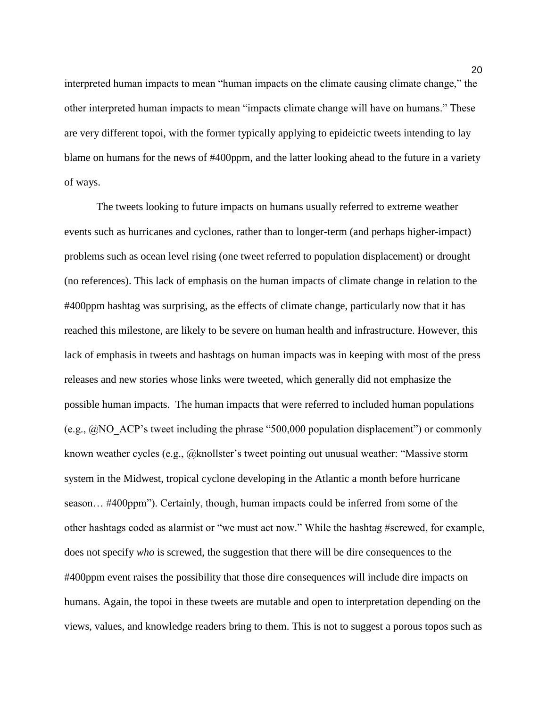interpreted human impacts to mean "human impacts on the climate causing climate change," the other interpreted human impacts to mean "impacts climate change will have on humans." These are very different topoi, with the former typically applying to epideictic tweets intending to lay blame on humans for the news of #400ppm, and the latter looking ahead to the future in a variety of ways.

The tweets looking to future impacts on humans usually referred to extreme weather events such as hurricanes and cyclones, rather than to longer-term (and perhaps higher-impact) problems such as ocean level rising (one tweet referred to population displacement) or drought (no references). This lack of emphasis on the human impacts of climate change in relation to the #400ppm hashtag was surprising, as the effects of climate change, particularly now that it has reached this milestone, are likely to be severe on human health and infrastructure. However, this lack of emphasis in tweets and hashtags on human impacts was in keeping with most of the press releases and new stories whose links were tweeted, which generally did not emphasize the possible human impacts. The human impacts that were referred to included human populations (e.g.,  $\omega$ NO ACP's tweet including the phrase "500,000 population displacement") or commonly known weather cycles (e.g., @knollster's tweet pointing out unusual weather: "Massive storm system in the Midwest, tropical cyclone developing in the Atlantic a month before hurricane season… #400ppm"). Certainly, though, human impacts could be inferred from some of the other hashtags coded as alarmist or "we must act now." While the hashtag #screwed, for example, does not specify *who* is screwed, the suggestion that there will be dire consequences to the #400ppm event raises the possibility that those dire consequences will include dire impacts on humans. Again, the topoi in these tweets are mutable and open to interpretation depending on the views, values, and knowledge readers bring to them. This is not to suggest a porous topos such as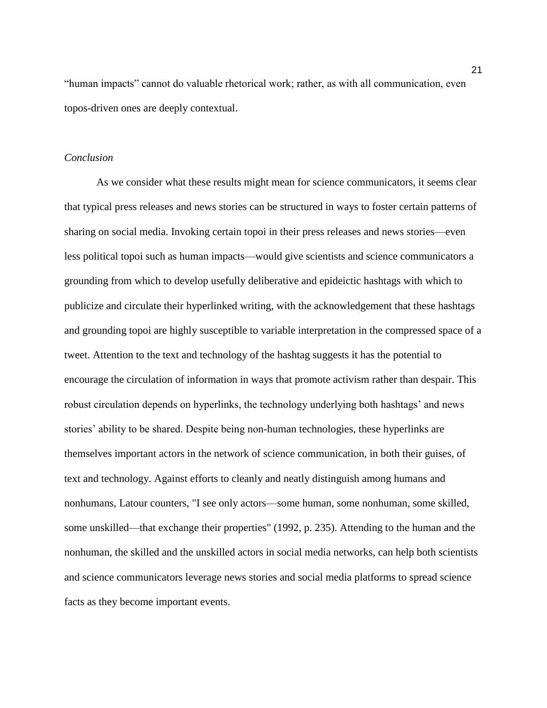"human impacts" cannot do valuable rhetorical work; rather, as with all communication, even topos-driven ones are deeply contextual.

# *Conclusion*

As we consider what these results might mean for science communicators, it seems clear that typical press releases and news stories can be structured in ways to foster certain patterns of sharing on social media. Invoking certain topoi in their press releases and news stories—even less political topoi such as human impacts—would give scientists and science communicators a grounding from which to develop usefully deliberative and epideictic hashtags with which to publicize and circulate their hyperlinked writing, with the acknowledgement that these hashtags and grounding topoi are highly susceptible to variable interpretation in the compressed space of a tweet. Attention to the text and technology of the hashtag suggests it has the potential to encourage the circulation of information in ways that promote activism rather than despair. This robust circulation depends on hyperlinks, the technology underlying both hashtags' and news stories' ability to be shared. Despite being non-human technologies, these hyperlinks are themselves important actors in the network of science communication, in both their guises, of text and technology. Against efforts to cleanly and neatly distinguish among humans and nonhumans, Latour counters, "I see only actors—some human, some nonhuman, some skilled, some unskilled—that exchange their properties" (1992, p. 235). Attending to the human and the nonhuman, the skilled and the unskilled actors in social media networks, can help both scientists and science communicators leverage news stories and social media platforms to spread science facts as they become important events.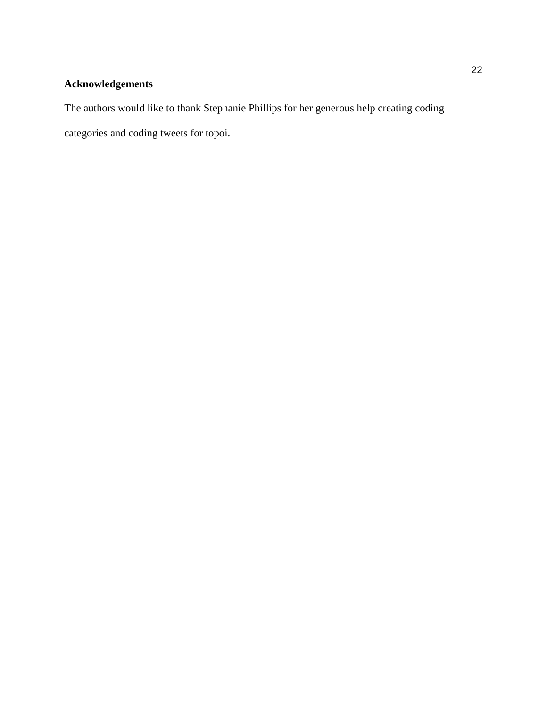# **Acknowledgements**

The authors would like to thank Stephanie Phillips for her generous help creating coding categories and coding tweets for topoi.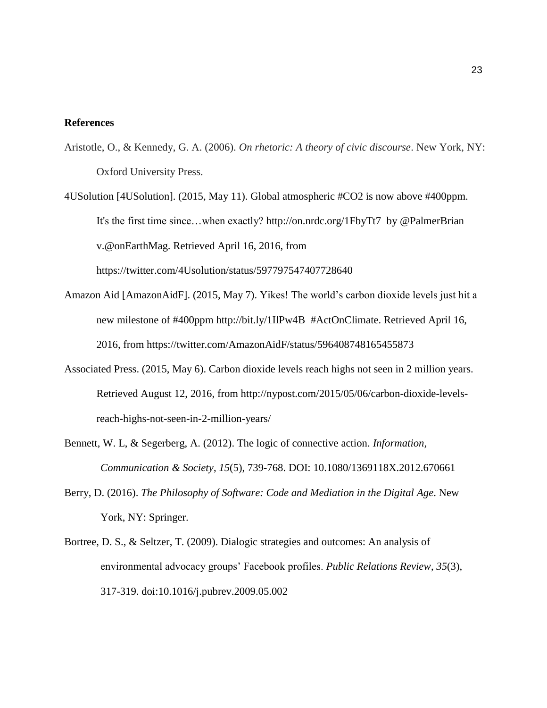## **References**

- Aristotle, O., & Kennedy, G. A. (2006). *On rhetoric: A theory of civic discourse*. New York, NY: Oxford University Press.
- 4USolution [4USolution]. (2015, May 11). Global atmospheric [#CO2](https://twitter.com/hashtag/CO2?src=hash) is now above [#400ppm.](https://twitter.com/hashtag/400ppm?src=hash) It's the first time since…when exactly? [http://on.nrdc.org/1FbyTt7](http://t.co/pqi3iA70F6) by [@PalmerBrian](https://twitter.com/PalmerBrian) v[.@onEarthMag.](https://twitter.com/onEarthMag) Retrieved April 16, 2016, from https://twitter.com/4Usolution/status/597797547407728640
- Amazon Aid [AmazonAidF]. (2015, May 7). Yikes! The world's carbon dioxide levels just hit a new milestone of [#400ppm](https://twitter.com/hashtag/400ppm?src=hash) [http://bit.ly/1IlPw4B](http://t.co/jgch6LSnKu) [#ActOnClimate.](https://twitter.com/hashtag/ActOnClimate?src=hash) Retrieved April 16, 2016, from https://twitter.com/AmazonAidF/status/596408748165455873
- Associated Press. (2015, May 6). Carbon dioxide levels reach highs not seen in 2 million years. Retrieved August 12, 2016, from http://nypost.com/2015/05/06/carbon-dioxide-levelsreach-highs-not-seen-in-2-million-years/
- Bennett, W. L, & Segerberg, A. (2012). The logic of connective action. *Information, Communication & Society*, *15*(5), 739-768. DOI: 10.1080/1369118X.2012.670661
- Berry, D. (2016). *The Philosophy of Software: Code and Mediation in the Digital Age*. New York, NY: Springer.
- Bortree, D. S., & Seltzer, T. (2009). Dialogic strategies and outcomes: An analysis of environmental advocacy groups' Facebook profiles. *Public Relations Review*, *35*(3), 317-319. doi:10.1016/j.pubrev.2009.05.002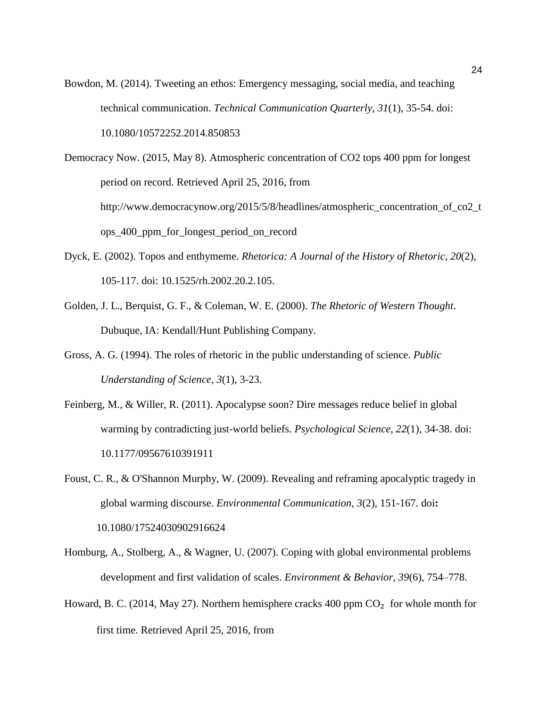Bowdon, M. (2014). Tweeting an ethos: Emergency messaging, social media, and teaching technical communication. *Technical Communication Quarterly*, *31*(1), 35-54. doi: 10.1080/10572252.2014.850853

Democracy Now. (2015, May 8). Atmospheric concentration of CO2 tops 400 ppm for longest period on record. Retrieved April 25, 2016, from http://www.democracynow.org/2015/5/8/headlines/atmospheric\_concentration\_of\_co2\_t ops\_400\_ppm\_for\_longest\_period\_on\_record

- Dyck, E. (2002). Topos and enthymeme. *Rhetorica: A Journal of the History of Rhetoric*, *20*(2), 105-117. doi: 10.1525/rh.2002.20.2.105.
- Golden, J. L., Berquist, G. F., & Coleman, W. E. (2000). *The Rhetoric of Western Thought*. Dubuque, IA: Kendall/Hunt Publishing Company.
- Gross, A. G. (1994). The roles of rhetoric in the public understanding of science. *Public Understanding of Science*, *3*(1), 3-23.
- Feinberg, M., & Willer, R. (2011). Apocalypse soon? Dire messages reduce belief in global warming by contradicting just-world beliefs. *Psychological Science*, *22*(1), 34-38. doi: 10.1177/09567610391911
- Foust, C. R., & O'Shannon Murphy, W. (2009). Revealing and reframing apocalyptic tragedy in global warming discourse. *Environmental Communication*, *3*(2), 151-167. doi**:** 10.1080/17524030902916624
- Homburg, A., Stolberg, A., & Wagner, U. (2007). Coping with global environmental problems development and first validation of scales. *Environment & Behavior, 39*(6), 754–778.
- Howard, B. C. (2014, May 27). Northern hemisphere cracks 400 ppm  $CO<sub>2</sub>$  for whole month for first time. Retrieved April 25, 2016, from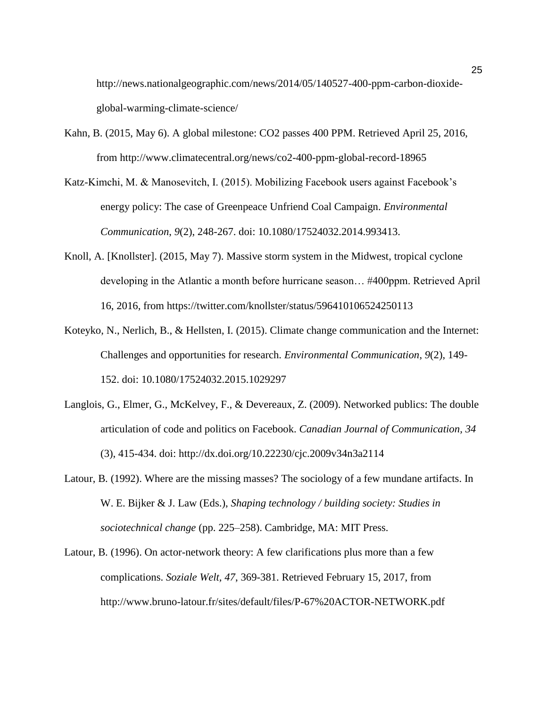http://news.nationalgeographic.com/news/2014/05/140527-400-ppm-carbon-dioxideglobal-warming-climate-science/

- Kahn, B. (2015, May 6). A global milestone: CO2 passes 400 PPM. Retrieved April 25, 2016, from http://www.climatecentral.org/news/co2-400-ppm-global-record-18965
- Katz-Kimchi, M. & Manosevitch, I. (2015). Mobilizing Facebook users against Facebook's energy policy: The case of Greenpeace Unfriend Coal Campaign. *Environmental Communication*, *9*(2), 248-267. doi: 10.1080/17524032.2014.993413.
- Knoll, A. [Knollster]. (2015, May 7). Massive storm system in the Midwest, tropical cyclone developing in the Atlantic a month before hurricane season… #400ppm. Retrieved April 16, 2016, from https://twitter.com/knollster/status/596410106524250113
- Koteyko, N., Nerlich, B., & Hellsten, I. (2015). Climate change communication and the Internet: Challenges and opportunities for research. *Environmental Communication*, *9*(2), 149- 152. doi: 10.1080/17524032.2015.1029297
- Langlois, G., Elmer, G., McKelvey, F., & Devereaux, Z. (2009). Networked publics: The double articulation of code and politics on Facebook. *Canadian Journal of Communication, 34* (3), 415-434. doi: http://dx.doi.org/10.22230/cjc.2009v34n3a2114
- Latour, B. (1992). Where are the missing masses? The sociology of a few mundane artifacts. In W. E. Bijker & J. Law (Eds.), *Shaping technology / building society: Studies in sociotechnical change* (pp. 225–258). Cambridge, MA: MIT Press.
- Latour, B. (1996). On actor-network theory: A few clarifications plus more than a few complications. *Soziale Welt, 47*, 369-381. Retrieved February 15, 2017, from http://www.bruno-latour.fr/sites/default/files/P-67%20ACTOR-NETWORK.pdf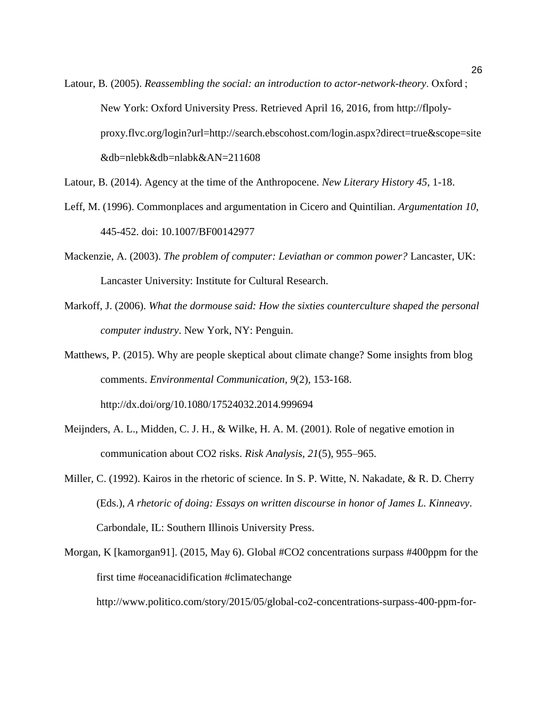- Latour, B. (2005). *Reassembling the social: an introduction to actor-network-theory*. Oxford ; New York: Oxford University Press. Retrieved April 16, 2016, from http://flpolyproxy.flvc.org/login?url=http://search.ebscohost.com/login.aspx?direct=true&scope=site &db=nlebk&db=nlabk&AN=211608
- Latour, B. (2014). Agency at the time of the Anthropocene. *New Literary History 45*, 1-18.
- Leff, M. (1996). Commonplaces and argumentation in Cicero and Quintilian. *Argumentation 10*, 445-452. doi: 10.1007/BF00142977
- Mackenzie, A. (2003). *The problem of computer: Leviathan or common power?* Lancaster, UK: Lancaster University: Institute for Cultural Research.
- Markoff, J. (2006). *What the dormouse said: How the sixties counterculture shaped the personal computer industry*. New York, NY: Penguin.
- Matthews, P. (2015). Why are people skeptical about climate change? Some insights from blog comments. *Environmental Communication, 9*(2), 153-168. <http://dx.doi/org/10.1080/17524032.2014.999694>
- Meijnders, A. L., Midden, C. J. H., & Wilke, H. A. M. (2001). Role of negative emotion in communication about CO2 risks. *Risk Analysis, 21*(5), 955–965.
- Miller, C. (1992). Kairos in the rhetoric of science. In S. P. Witte, N. Nakadate, & R. D. Cherry (Eds.), *A rhetoric of doing: Essays on written discourse in honor of James L. Kinneavy*. Carbondale, IL: Southern Illinois University Press.
- Morgan, K [kamorgan91]. (2015, May 6). Global #CO2 concentrations surpass #400ppm for the first time #oceanacidification #climatechange [http://www.politico.com/story/2015/05/global-co2-concentrations-surpass-400-ppm-for-](http://www.politico.com/story/2015/05/global-co2-concentrations-surpass-400-ppm-for-first-time-117689)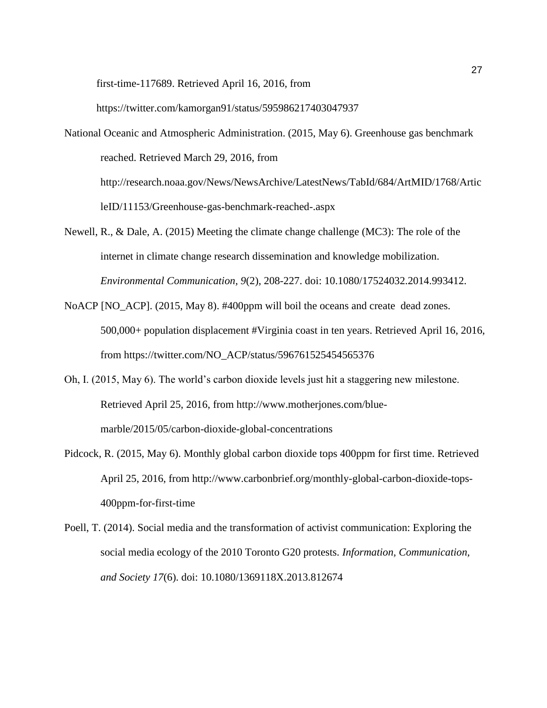[first-time-117689.](http://www.politico.com/story/2015/05/global-co2-concentrations-surpass-400-ppm-for-first-time-117689) Retrieved April 16, 2016, from

https://twitter.com/kamorgan91/status/595986217403047937

- National Oceanic and Atmospheric Administration. (2015, May 6). Greenhouse gas benchmark reached. Retrieved March 29, 2016, from [http://research.noaa.gov/News/NewsArchive/LatestNews/TabId/684/ArtMID/1768/Artic](http://research.noaa.gov/News/NewsArchive/LatestNews/TabId/684/ArtMID/1768/ArticleID/11153/Greenhouse-gas-benchmark-reached-.aspx) [leID/11153/Greenhouse-gas-benchmark-reached-.aspx](http://research.noaa.gov/News/NewsArchive/LatestNews/TabId/684/ArtMID/1768/ArticleID/11153/Greenhouse-gas-benchmark-reached-.aspx)
- Newell, R., & Dale, A. (2015) Meeting the climate change challenge (MC3): The role of the internet in climate change research dissemination and knowledge mobilization. *Environmental Communication, 9*(2), 208-227. doi: 10.1080/17524032.2014.993412.
- NoACP [NO\_ACP]. (2015, May 8). #400ppm will boil the oceans and create dead zones. 500,000+ population displacement #Virginia coast in ten years. Retrieved April 16, 2016, from https://twitter.com/NO\_ACP/status/596761525454565376
- Oh, I. (2015, May 6). The world's carbon dioxide levels just hit a staggering new milestone. Retrieved April 25, 2016, from [http://www.motherjones.com/blue](http://www.motherjones.com/blue-marble/2015/05/carbon-dioxide-global-concentrations)[marble/2015/05/carbon-dioxide-global-concentrations](http://www.motherjones.com/blue-marble/2015/05/carbon-dioxide-global-concentrations)
- Pidcock, R. (2015, May 6). Monthly global carbon dioxide tops 400ppm for first time. Retrieved April 25, 2016, from http://www.carbonbrief.org/monthly-global-carbon-dioxide-tops-400ppm-for-first-time
- Poell, T. (2014). Social media and the transformation of activist communication: Exploring the social media ecology of the 2010 Toronto G20 protests. *Information, Communication, and Society 17*(6). doi: 10.1080/1369118X.2013.812674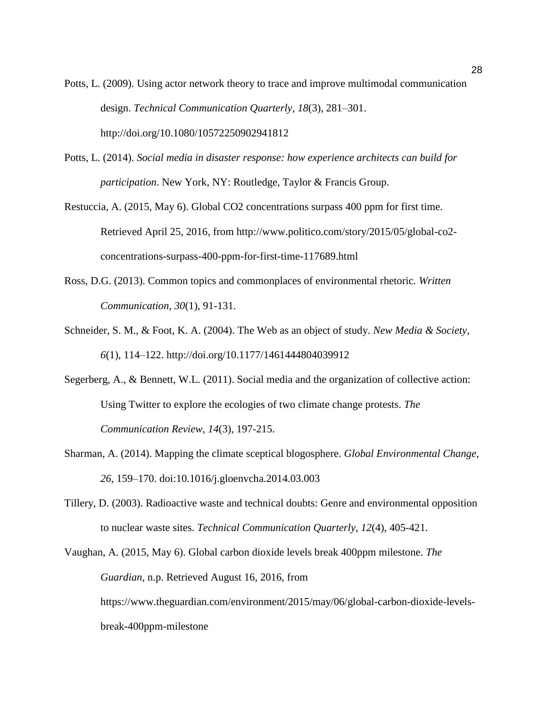- Potts, L. (2009). Using actor network theory to trace and improve multimodal communication design. *Technical Communication Quarterly*, *18*(3), 281–301. <http://doi.org/10.1080/10572250902941812>
- Potts, L. (2014). *Social media in disaster response: how experience architects can build for participation*. New York, NY: Routledge, Taylor & Francis Group.
- Restuccia, A. (2015, May 6). Global CO2 concentrations surpass 400 ppm for first time. Retrieved April 25, 2016, from http://www.politico.com/story/2015/05/global-co2 concentrations-surpass-400-ppm-for-first-time-117689.html
- Ross, D.G. (2013). Common topics and commonplaces of environmental rhetoric*. Written Communication, 30*(1), 91-131.
- Schneider, S. M., & Foot, K. A. (2004). The Web as an object of study. *New Media & Society*, *6*(1), 114–122. http://doi.org/10.1177/1461444804039912
- Segerberg, A., & Bennett, W.L. (2011). Social media and the organization of collective action: Using Twitter to explore the ecologies of two climate change protests. *The Communication Review*, *14*(3), 197-215.
- Sharman, A. (2014). Mapping the climate sceptical blogosphere. *Global Environmental Change, 26*, 159–170. doi:10.1016/j.gloenvcha.2014.03.003
- Tillery, D. (2003). Radioactive waste and technical doubts: Genre and environmental opposition to nuclear waste sites. *Technical Communication Quarterly*, *12*(4), 405-421.

Vaughan, A. (2015, May 6). Global carbon dioxide levels break 400ppm milestone. *The Guardian*, n.p. Retrieved August 16, 2016, from https://www.theguardian.com/environment/2015/may/06/global-carbon-dioxide-levelsbreak-400ppm-milestone